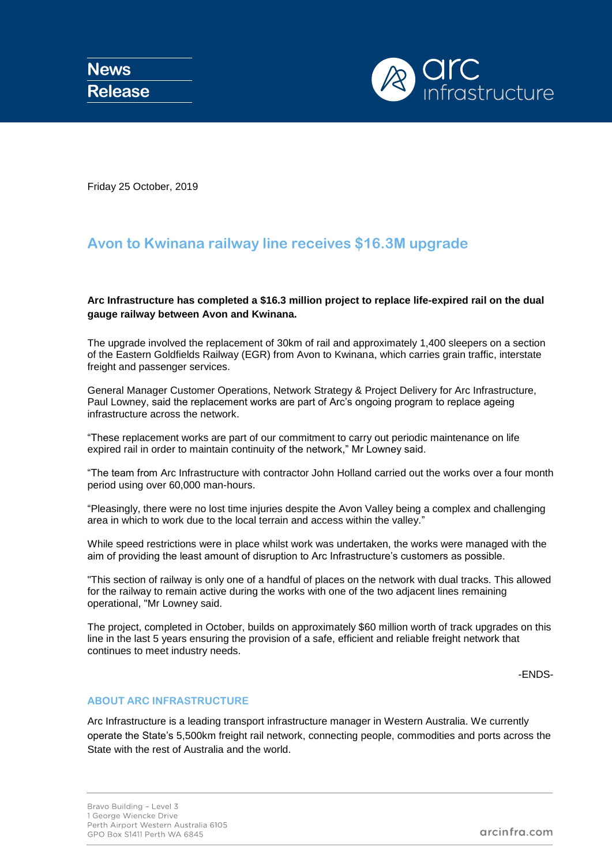

Friday 25 October, 2019

## **Avon to Kwinana railway line receives \$16.3M upgrade**

**Arc Infrastructure has completed a \$16.3 million project to replace life-expired rail on the dual gauge railway between Avon and Kwinana.**

The upgrade involved the replacement of 30km of rail and approximately 1,400 sleepers on a section of the Eastern Goldfields Railway (EGR) from Avon to Kwinana, which carries grain traffic, interstate freight and passenger services.

General Manager Customer Operations, Network Strategy & Project Delivery for Arc Infrastructure, Paul Lowney, said the replacement works are part of Arc's ongoing program to replace ageing infrastructure across the network.

"These replacement works are part of our commitment to carry out periodic maintenance on life expired rail in order to maintain continuity of the network," Mr Lowney said.

"The team from Arc Infrastructure with contractor John Holland carried out the works over a four month period using over 60,000 man-hours.

"Pleasingly, there were no lost time injuries despite the Avon Valley being a complex and challenging area in which to work due to the local terrain and access within the valley."

While speed restrictions were in place whilst work was undertaken, the works were managed with the aim of providing the least amount of disruption to Arc Infrastructure's customers as possible.

"This section of railway is only one of a handful of places on the network with dual tracks. This allowed for the railway to remain active during the works with one of the two adjacent lines remaining operational, "Mr Lowney said.

The project, completed in October, builds on approximately \$60 million worth of track upgrades on this line in the last 5 years ensuring the provision of a safe, efficient and reliable freight network that continues to meet industry needs.

-ENDS-

## **ABOUT ARC INFRASTRUCTURE**

Arc Infrastructure is a leading transport infrastructure manager in Western Australia. We currently operate the State's 5,500km freight rail network, connecting people, commodities and ports across the State with the rest of Australia and the world.